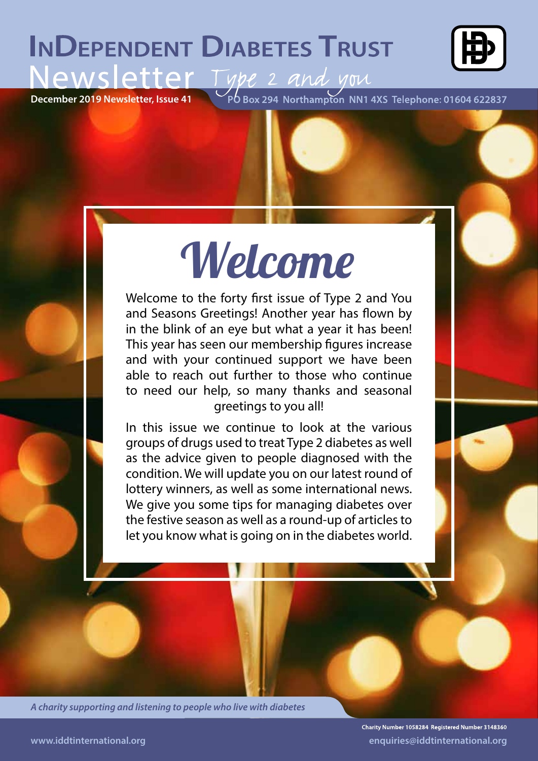## **INDEPENDENT DIABETES TRUST**



**Newsletter, Issue 41** PO Box 294 Northampton NN1 4XS Telephone: 01604 622837

# Welcome

Welcome to the forty first issue of Type 2 and You and Seasons Greetings! Another year has flown by in the blink of an eye but what a year it has been! This year has seen our membership figures increase and with your continued support we have been able to reach out further to those who continue to need our help, so many thanks and seasonal greetings to you all!

In this issue we continue to look at the various groups of drugs used to treat Type 2 diabetes as well as the advice given to people diagnosed with the condition. We will update you on our latest round of lottery winners, as well as some international news. We give you some tips for managing diabetes over the festive season as well as a round-up of articles to let you know what is going on in the diabetes world.

*A charity supporting and listening to people who live with diabetes*

Charity Number 1058284 Registered Number 3148360 **www.iddtinternational.org enquiries@iddtinternational.org**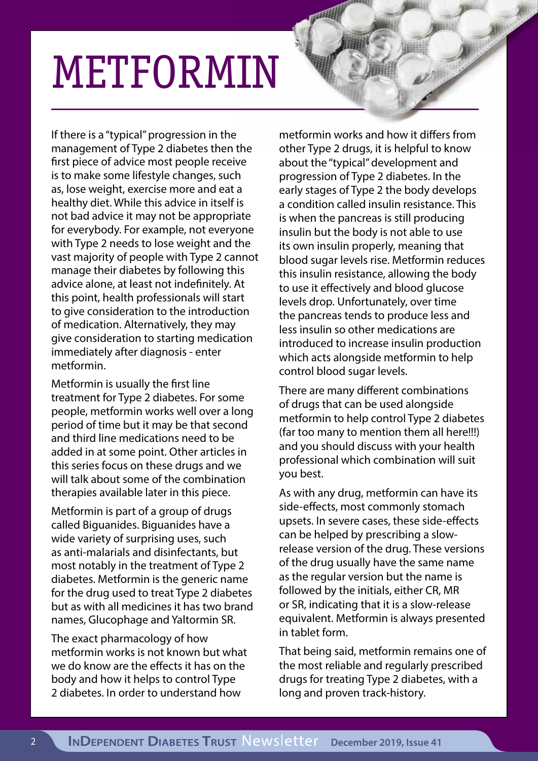# METFORMIN

If there is a "typical" progression in the management of Type 2 diabetes then the first piece of advice most people receive is to make some lifestyle changes, such as, lose weight, exercise more and eat a healthy diet. While this advice in itself is not bad advice it may not be appropriate for everybody. For example, not everyone with Type 2 needs to lose weight and the vast majority of people with Type 2 cannot manage their diabetes by following this advice alone, at least not indefinitely. At this point, health professionals will start to give consideration to the introduction of medication. Alternatively, they may give consideration to starting medication immediately after diagnosis - enter metformin.

Metformin is usually the first line treatment for Type 2 diabetes. For some people, metformin works well over a long period of time but it may be that second and third line medications need to be added in at some point. Other articles in this series focus on these drugs and we will talk about some of the combination therapies available later in this piece.

Metformin is part of a group of drugs called Biguanides. Biguanides have a wide variety of surprising uses, such as anti-malarials and disinfectants, but most notably in the treatment of Type 2 diabetes. Metformin is the generic name for the drug used to treat Type 2 diabetes but as with all medicines it has two brand names, Glucophage and Yaltormin SR.

The exact pharmacology of how metformin works is not known but what we do know are the effects it has on the body and how it helps to control Type 2 diabetes. In order to understand how

metformin works and how it differs from other Type 2 drugs, it is helpful to know about the "typical" development and progression of Type 2 diabetes. In the early stages of Type 2 the body develops a condition called insulin resistance. This is when the pancreas is still producing insulin but the body is not able to use its own insulin properly, meaning that blood sugar levels rise. Metformin reduces this insulin resistance, allowing the body to use it effectively and blood glucose levels drop. Unfortunately, over time the pancreas tends to produce less and less insulin so other medications are introduced to increase insulin production which acts alongside metformin to help control blood sugar levels.

There are many different combinations of drugs that can be used alongside metformin to help control Type 2 diabetes (far too many to mention them all here!!!) and you should discuss with your health professional which combination will suit you best.

As with any drug, metformin can have its side-effects, most commonly stomach upsets. In severe cases, these side-effects can be helped by prescribing a slowrelease version of the drug. These versions of the drug usually have the same name as the regular version but the name is followed by the initials, either CR, MR or SR, indicating that it is a slow-release equivalent. Metformin is always presented in tablet form.

That being said, metformin remains one of the most reliable and regularly prescribed drugs for treating Type 2 diabetes, with a long and proven track-history.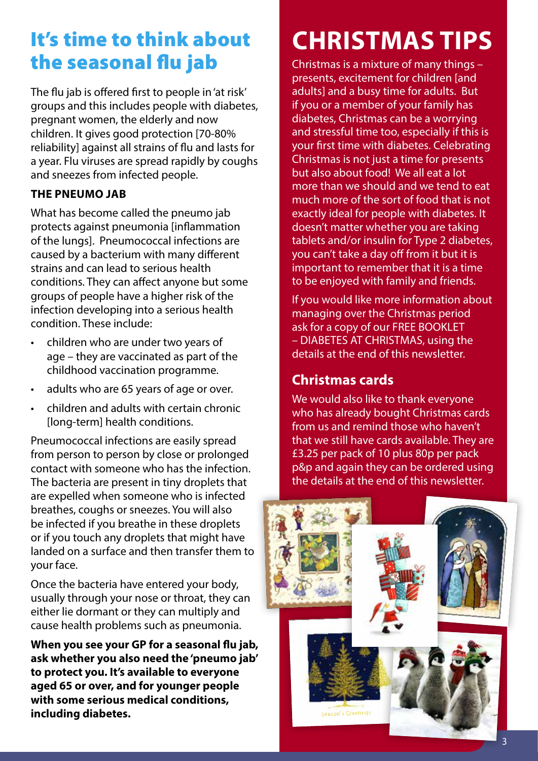### It's time to think about the seasonal flu jab

The flu jab is offered first to people in 'at risk' groups and this includes people with diabetes, pregnant women, the elderly and now children. It gives good protection [70-80% reliability] against all strains of flu and lasts for a year. Flu viruses are spread rapidly by coughs and sneezes from infected people.

#### **THE PNEUMO JAB**

What has become called the pneumo jab protects against pneumonia [inflammation of the lungs]. Pneumococcal infections are caused by a bacterium with many different strains and can lead to serious health conditions. They can affect anyone but some groups of people have a higher risk of the infection developing into a serious health condition. These include:

- children who are under two years of age – they are vaccinated as part of the childhood vaccination programme.
- adults who are 65 years of age or over.
- children and adults with certain chronic [long-term] health conditions.

Pneumococcal infections are easily spread from person to person by close or prolonged contact with someone who has the infection. The bacteria are present in tiny droplets that are expelled when someone who is infected breathes, coughs or sneezes. You will also be infected if you breathe in these droplets or if you touch any droplets that might have landed on a surface and then transfer them to your face.

Once the bacteria have entered your body, usually through your nose or throat, they can either lie dormant or they can multiply and cause health problems such as pneumonia.

**When you see your GP for a seasonal flu jab, ask whether you also need the 'pneumo jab' to protect you. It's available to everyone aged 65 or over, and for younger people with some serious medical conditions, including diabetes.**

## **CHRISTMAS TIPS**

Christmas is a mixture of many things – presents, excitement for children [and adults] and a busy time for adults. But if you or a member of your family has diabetes, Christmas can be a worrying and stressful time too, especially if this is your first time with diabetes. Celebrating Christmas is not just a time for presents but also about food! We all eat a lot more than we should and we tend to eat much more of the sort of food that is not exactly ideal for people with diabetes. It doesn't matter whether you are taking tablets and/or insulin for Type 2 diabetes, you can't take a day off from it but it is important to remember that it is a time to be enjoyed with family and friends.

If you would like more information about managing over the Christmas period ask for a copy of our FREE BOOKLET – DIABETES AT CHRISTMAS, using the details at the end of this newsletter.

### **Christmas cards**

We would also like to thank everyone who has already bought Christmas cards from us and remind those who haven't that we still have cards available. They are £3.25 per pack of 10 plus 80p per pack p&p and again they can be ordered using the details at the end of this newsletter.

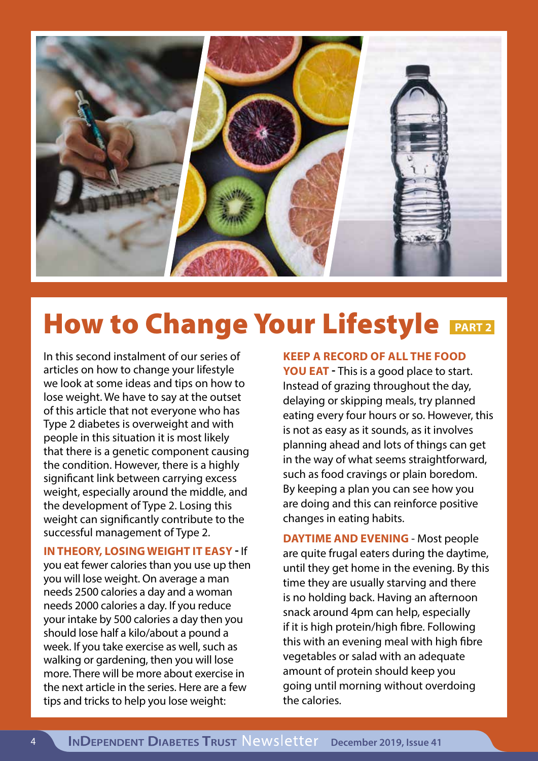

## **How to Change Your Lifestyle PART2**

In this second instalment of our series of articles on how to change your lifestyle we look at some ideas and tips on how to lose weight. We have to say at the outset of this article that not everyone who has Type 2 diabetes is overweight and with people in this situation it is most likely that there is a genetic component causing the condition. However, there is a highly significant link between carrying excess weight, especially around the middle, and the development of Type 2. Losing this weight can significantly contribute to the successful management of Type 2.

**IN THEORY, LOSING WEIGHT IT EASY -** If you eat fewer calories than you use up then you will lose weight. On average a man needs 2500 calories a day and a woman needs 2000 calories a day. If you reduce your intake by 500 calories a day then you should lose half a kilo/about a pound a week. If you take exercise as well, such as walking or gardening, then you will lose more. There will be more about exercise in the next article in the series. Here are a few tips and tricks to help you lose weight:

**KEEP A RECORD OF ALL THE FOOD** 

**YOU EAT -** This is a good place to start. Instead of grazing throughout the day, delaying or skipping meals, try planned eating every four hours or so. However, this is not as easy as it sounds, as it involves planning ahead and lots of things can get in the way of what seems straightforward, such as food cravings or plain boredom. By keeping a plan you can see how you are doing and this can reinforce positive changes in eating habits.

**DAYTIME AND EVENING** - Most people are quite frugal eaters during the daytime, until they get home in the evening. By this time they are usually starving and there is no holding back. Having an afternoon snack around 4pm can help, especially if it is high protein/high fibre. Following this with an evening meal with high fibre vegetables or salad with an adequate amount of protein should keep you going until morning without overdoing the calories.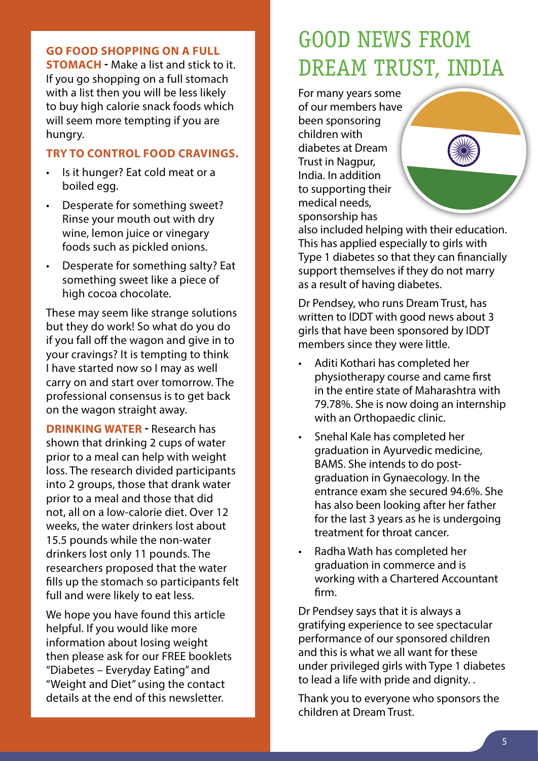#### **GO FOOD SHOPPING ON A FULL**

**STOMACH -** Make a list and stick to it. If you go shopping on a full stomach with a list then you will be less likely to buy high calorie snack foods which will seem more tempting if you are hungry.

#### **TRY TO CONTROL FOOD CRAVINGS.**

- Is it hunger? Eat cold meat or a boiled egg.
- Desperate for something sweet? Rinse your mouth out with dry wine, lemon juice or vinegary foods such as pickled onions.
- Desperate for something salty? Eat something sweet like a piece of high cocoa chocolate.

These may seem like strange solutions but they do work! So what do you do if you fall off the wagon and give in to your cravings? It is tempting to think I have started now so I may as well carry on and start over tomorrow. The professional consensus is to get back on the wagon straight away.

**DRINKING WATER -** Research has shown that drinking 2 cups of water prior to a meal can help with weight loss. The research divided participants into 2 groups, those that drank water prior to a meal and those that did not, all on a low-calorie diet. Over 12 weeks, the water drinkers lost about 15.5 pounds while the non-water drinkers lost only 11 pounds. The researchers proposed that the water fills up the stomach so participants felt full and were likely to eat less.

We hope you have found this article helpful. If you would like more information about losing weight then please ask for our FREE booklets "Diabetes – Everyday Eating" and "Weight and Diet" using the contact details at the end of this newsletter.

## GOOD NEWS FROM DREAM TRUST, INDIA

For many years some of our members have been sponsoring children with diabetes at Dream Trust in Nagpur, India. In addition to supporting their medical needs, sponsorship has



also included helping with their education. This has applied especially to girls with Type 1 diabetes so that they can financially support themselves if they do not marry as a result of having diabetes.

Dr Pendsey, who runs Dream Trust, has written to IDDT with good news about 3 girls that have been sponsored by IDDT members since they were little.

- Aditi Kothari has completed her physiotherapy course and came first in the entire state of Maharashtra with 79.78%. She is now doing an internship with an Orthopaedic clinic.
- Snehal Kale has completed her graduation in Ayurvedic medicine, BAMS. She intends to do postgraduation in Gynaecology. In the entrance exam she secured 94.6%. She has also been looking after her father for the last 3 years as he is undergoing treatment for throat cancer.
- Radha Wath has completed her graduation in commerce and is working with a Chartered Accountant firm.

Dr Pendsey says that it is always a gratifying experience to see spectacular performance of our sponsored children and this is what we all want for these under privileged girls with Type 1 diabetes to lead a life with pride and dignity. .

Thank you to everyone who sponsors the children at Dream Trust.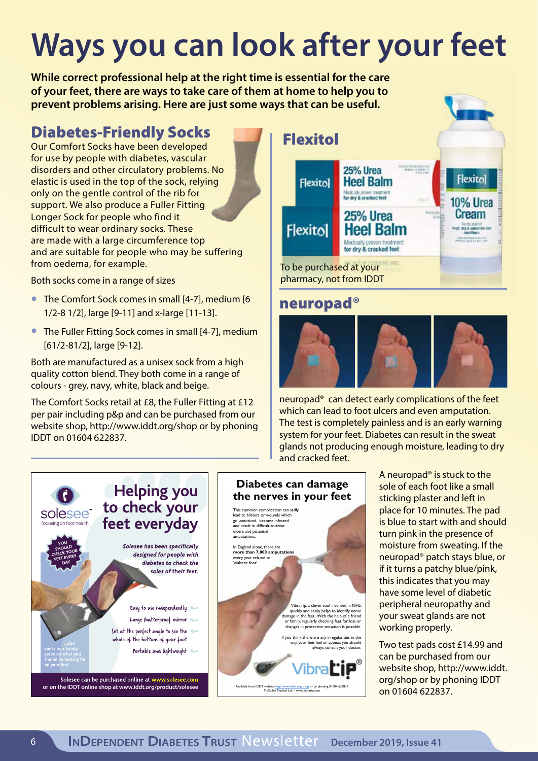## **Ways you can look after your feet**

**While correct professional help at the right time is essential for the care of your feet, there are ways to take care of them at home to help you to prevent problems arising. Here are just some ways that can be useful.**

### Diabetes-Friendly Socks

Our Comfort Socks have been developed for use by people with diabetes, vascular disorders and other circulatory problems. No elastic is used in the top of the sock, relying only on the gentle control of the rib for support. We also produce a Fuller Fitting Longer Sock for people who find it difficult to wear ordinary socks. These are made with a large circumference top and are suitable for people who may be suffering from oedema, for example.

Both socks come in a range of sizes

- The Comfort Sock comes in small [4-7], medium [6 1/2-8 1/2], large [9-11] and x-large [11-13].
- The Fuller Fitting Sock comes in small [4-7], medium [61/2-81/2], large [9-12].

Both are manufactured as a unisex sock from a high quality cotton blend. They both come in a range of colours - grey, navy, white, black and beige.

The Comfort Socks retail at £8, the Fuller Fitting at £12 per pair including p&p and can be purchased from our website shop, http://www.iddt.org/shop or by phoning IDDT on 01604 622837.



### neuropad®



neuropad® can detect early complications of the feet which can lead to foot ulcers and even amputation. The test is completely painless and is an early warning system for your feet. Diabetes can result in the sweat glands not producing enough moisture, leading to dry and cracked feet.



#### **Diabetes can damage the nerves in your feet**



A neuropad® is stuck to the sole of each foot like a small sticking plaster and left in place for 10 minutes. The pad is blue to start with and should turn pink in the presence of moisture from sweating. If the neuropad® patch stays blue, or if it turns a patchy blue/pink, this indicates that you may have some level of diabetic peripheral neuropathy and your sweat glands are not working properly.

Two test pads cost £14.99 and can be purchased from our website shop, http://www.iddt. org/shop or by phoning IDDT on 01604 622837.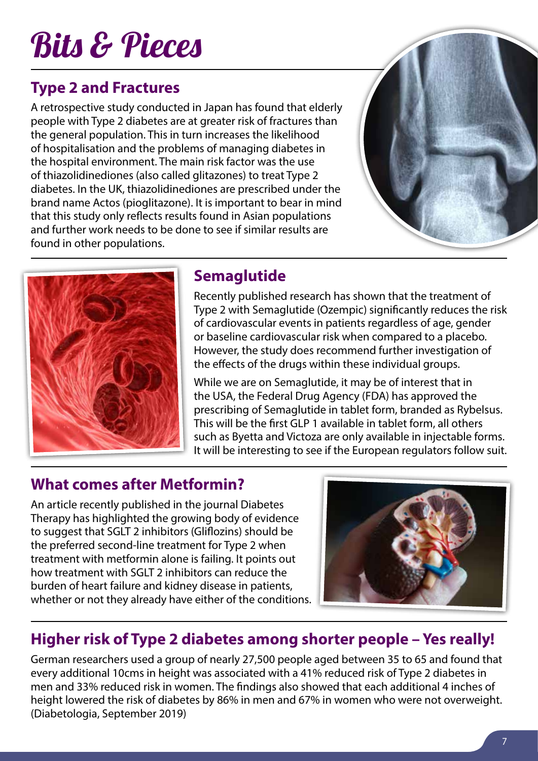## Bits & Pieces

### **Type 2 and Fractures**

A retrospective study conducted in Japan has found that elderly people with Type 2 diabetes are at greater risk of fractures than the general population. This in turn increases the likelihood of hospitalisation and the problems of managing diabetes in the hospital environment. The main risk factor was the use of thiazolidinediones (also called glitazones) to treat Type 2 diabetes. In the UK, thiazolidinediones are prescribed under the brand name Actos (pioglitazone). It is important to bear in mind that this study only reflects results found in Asian populations and further work needs to be done to see if similar results are found in other populations.





### **Semaglutide**

Recently published research has shown that the treatment of Type 2 with Semaglutide (Ozempic) significantly reduces the risk of cardiovascular events in patients regardless of age, gender or baseline cardiovascular risk when compared to a placebo. However, the study does recommend further investigation of the effects of the drugs within these individual groups.

While we are on Semaglutide, it may be of interest that in the USA, the Federal Drug Agency (FDA) has approved the prescribing of Semaglutide in tablet form, branded as Rybelsus. This will be the first GLP 1 available in tablet form, all others such as Byetta and Victoza are only available in injectable forms. It will be interesting to see if the European regulators follow suit.

### **What comes after Metformin?**

An article recently published in the journal Diabetes Therapy has highlighted the growing body of evidence to suggest that SGLT 2 inhibitors (Gliflozins) should be the preferred second-line treatment for Type 2 when treatment with metformin alone is failing. It points out how treatment with SGLT 2 inhibitors can reduce the burden of heart failure and kidney disease in patients, whether or not they already have either of the conditions.



### **Higher risk of Type 2 diabetes among shorter people – Yes really!**

German researchers used a group of nearly 27,500 people aged between 35 to 65 and found that every additional 10cms in height was associated with a 41% reduced risk of Type 2 diabetes in men and 33% reduced risk in women. The findings also showed that each additional 4 inches of height lowered the risk of diabetes by 86% in men and 67% in women who were not overweight. (Diabetologia, September 2019)